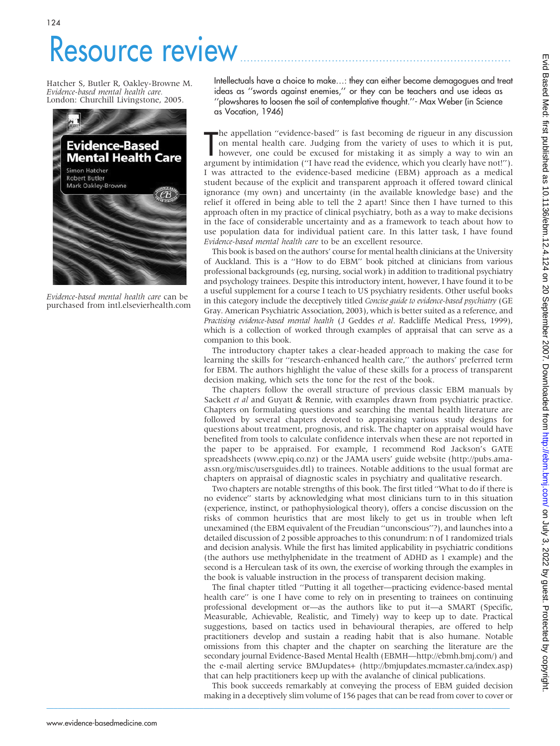## Resource review.

Hatcher S, Butler R, Oakley-Browne M. Evidence-based mental health care. London: Churchill Livingstone, 2005.



Evidence-based mental health care can be purchased from intl.elsevierhealth.com

Intellectuals have a choice to make…: they can either become demagogues and treat ideas as ''swords against enemies,'' or they can be teachers and use ideas as ''plowshares to loosen the soil of contemplative thought.''- Max Weber (in Science as Vocation, 1946)

The appellation "evidence-based" is fast becoming de rigueur in any discussion<br>on mental health care. Judging from the variety of uses to which it is put,<br>however, one could be excused for mistaking it as simply a way to w he appellation ''evidence-based'' is fast becoming de rigueur in any discussion on mental health care. Judging from the variety of uses to which it is put, however, one could be excused for mistaking it as simply a way to win an I was attracted to the evidence-based medicine (EBM) approach as a medical student because of the explicit and transparent approach it offered toward clinical ignorance (my own) and uncertainty (in the available knowledge base) and the relief it offered in being able to tell the 2 apart! Since then I have turned to this approach often in my practice of clinical psychiatry, both as a way to make decisions in the face of considerable uncertainty and as a framework to teach about how to use population data for individual patient care. In this latter task, I have found Evidence-based mental health care to be an excellent resource.

This book is based on the authors' course for mental health clinicians at the University of Auckland. This is a ''How to do EBM'' book pitched at clinicians from various professional backgrounds (eg, nursing, social work) in addition to traditional psychiatry and psychology trainees. Despite this introductory intent, however, I have found it to be a useful supplement for a course I teach to US psychiatry residents. Other useful books in this category include the deceptively titled Concise guide to evidence-based psychiatry (GE Gray. American Psychiatric Association, 2003), which is better suited as a reference, and Practising evidence-based mental health (J Geddes et al. Radcliffe Medical Press, 1999), which is a collection of worked through examples of appraisal that can serve as a companion to this book.

The introductory chapter takes a clear-headed approach to making the case for learning the skills for ''research-enhanced health care,'' the authors' preferred term for EBM. The authors highlight the value of these skills for a process of transparent decision making, which sets the tone for the rest of the book.

The chapters follow the overall structure of previous classic EBM manuals by Sackett *et al* and Guyatt  $\&$  Rennie, with examples drawn from psychiatric practice. Chapters on formulating questions and searching the mental health literature are followed by several chapters devoted to appraising various study designs for questions about treatment, prognosis, and risk. The chapter on appraisal would have benefited from tools to calculate confidence intervals when these are not reported in the paper to be appraised. For example, I recommend Rod Jackson's GATE spreadsheets (www.epiq.co.nz) or the JAMA users' guide website (http://pubs.amaassn.org/misc/usersguides.dtl) to trainees. Notable additions to the usual format are chapters on appraisal of diagnostic scales in psychiatry and qualitative research.

Two chapters are notable strengths of this book. The first titled ''What to do if there is no evidence'' starts by acknowledging what most clinicians turn to in this situation (experience, instinct, or pathophysiological theory), offers a concise discussion on the risks of common heuristics that are most likely to get us in trouble when left unexamined (the EBM equivalent of the Freudian ''unconscious''?), and launches into a detailed discussion of 2 possible approaches to this conundrum: n of 1 randomized trials and decision analysis. While the first has limited applicability in psychiatric conditions (the authors use methylphenidate in the treatment of ADHD as 1 example) and the second is a Herculean task of its own, the exercise of working through the examples in the book is valuable instruction in the process of transparent decision making.

The final chapter titled ''Putting it all together—practicing evidence-based mental health care'' is one I have come to rely on in presenting to trainees on continuing professional development or—as the authors like to put it—a SMART (Specific, Measurable, Achievable, Realistic, and Timely) way to keep up to date. Practical suggestions, based on tactics used in behavioural therapies, are offered to help practitioners develop and sustain a reading habit that is also humane. Notable omissions from this chapter and the chapter on searching the literature are the secondary journal Evidence-Based Mental Health (EBMH—http://ebmh.bmj.com/) and the e-mail alerting service BMJupdates+ (http://bmjupdates.mcmaster.ca/index.asp) that can help practitioners keep up with the avalanche of clinical publications.

This book succeeds remarkably at conveying the process of EBM guided decision making in a deceptively slim volume of 156 pages that can be read from cover to cover or

 $\mathcal{L}_\mathcal{L} = \mathcal{L}_\mathcal{L} = \mathcal{L}_\mathcal{L} = \mathcal{L}_\mathcal{L} = \mathcal{L}_\mathcal{L} = \mathcal{L}_\mathcal{L} = \mathcal{L}_\mathcal{L} = \mathcal{L}_\mathcal{L} = \mathcal{L}_\mathcal{L} = \mathcal{L}_\mathcal{L} = \mathcal{L}_\mathcal{L} = \mathcal{L}_\mathcal{L} = \mathcal{L}_\mathcal{L} = \mathcal{L}_\mathcal{L} = \mathcal{L}_\mathcal{L} = \mathcal{L}_\mathcal{L} = \mathcal{L}_\mathcal{L}$